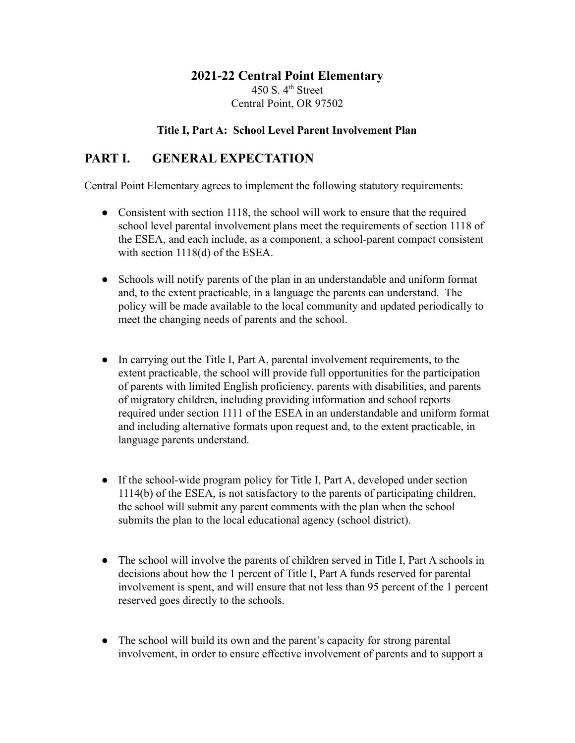## **2021-22 Central Point Elementary** 450 S.  $4<sup>th</sup>$  Street Central Point, OR 97502

#### **Title I, Part A: School Level Parent Involvement Plan**

## **PART I. GENERAL EXPECTATION**

Central Point Elementary agrees to implement the following statutory requirements:

- Consistent with section 1118, the school will work to ensure that the required school level parental involvement plans meet the requirements of section 1118 of the ESEA, and each include, as a component, a school-parent compact consistent with section 1118(d) of the ESEA.
- Schools will notify parents of the plan in an understandable and uniform format and, to the extent practicable, in a language the parents can understand. The policy will be made available to the local community and updated periodically to meet the changing needs of parents and the school.
- In carrying out the Title I, Part A, parental involvement requirements, to the extent practicable, the school will provide full opportunities for the participation of parents with limited English proficiency, parents with disabilities, and parents of migratory children, including providing information and school reports required under section 1111 of the ESEA in an understandable and uniform format and including alternative formats upon request and, to the extent practicable, in language parents understand.
- If the school-wide program policy for Title I, Part A, developed under section 1114(b) of the ESEA, is not satisfactory to the parents of participating children, the school will submit any parent comments with the plan when the school submits the plan to the local educational agency (school district).
- The school will involve the parents of children served in Title I, Part A schools in decisions about how the 1 percent of Title I, Part A funds reserved for parental involvement is spent, and will ensure that not less than 95 percent of the 1 percent reserved goes directly to the schools.
- The school will build its own and the parent's capacity for strong parental involvement, in order to ensure effective involvement of parents and to support a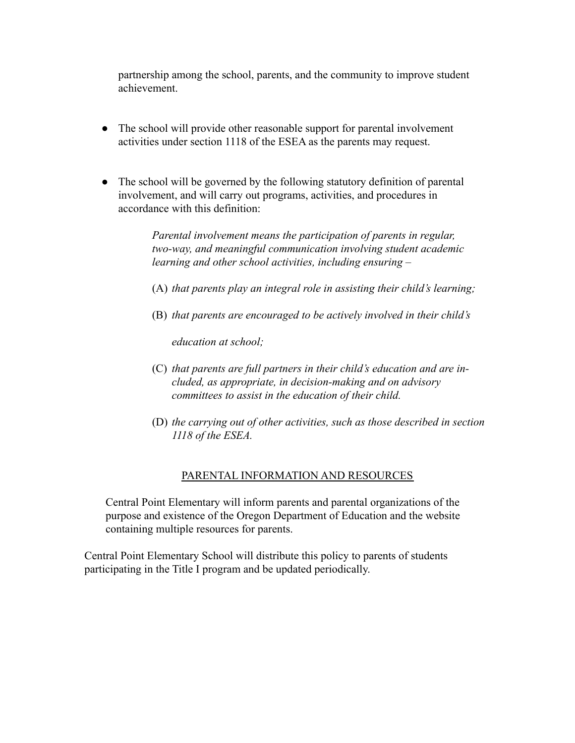partnership among the school, parents, and the community to improve student achievement.

- The school will provide other reasonable support for parental involvement activities under section 1118 of the ESEA as the parents may request.
- The school will be governed by the following statutory definition of parental involvement, and will carry out programs, activities, and procedures in accordance with this definition:

*Parental involvement means the participation of parents in regular, two-way, and meaningful communication involving student academic learning and other school activities, including ensuring –*

- (A) *that parents play an integral role in assisting their child's learning;*
- (B) *that parents are encouraged to be actively involved in their child's*

*education at school;*

- (C) *that parents are full partners in their child's education and are included, as appropriate, in decision-making and on advisory committees to assist in the education of their child.*
- (D) *the carrying out of other activities, such as those described in section 1118 of the ESEA.*

### PARENTAL INFORMATION AND RESOURCES

Central Point Elementary will inform parents and parental organizations of the purpose and existence of the Oregon Department of Education and the website containing multiple resources for parents.

Central Point Elementary School will distribute this policy to parents of students participating in the Title I program and be updated periodically.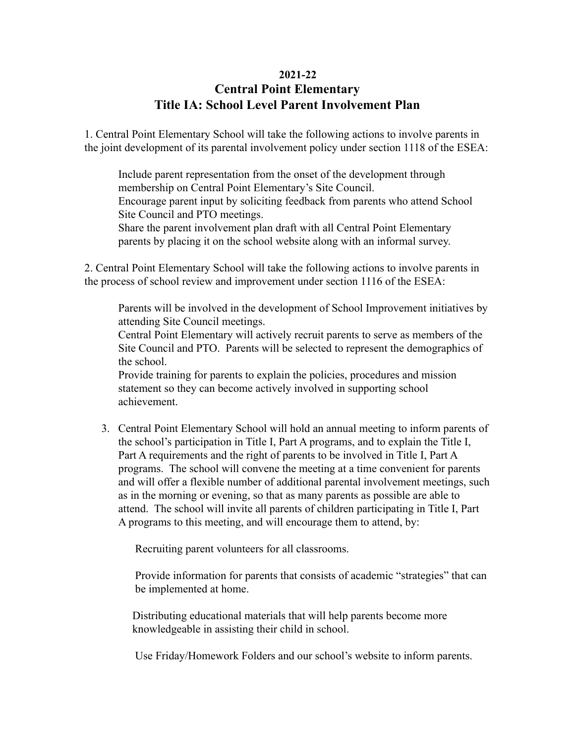#### **2021-22**

# **Central Point Elementary Title IA: School Level Parent Involvement Plan**

1. Central Point Elementary School will take the following actions to involve parents in the joint development of its parental involvement policy under section 1118 of the ESEA:

Include parent representation from the onset of the development through membership on Central Point Elementary's Site Council. Encourage parent input by soliciting feedback from parents who attend School Site Council and PTO meetings. Share the parent involvement plan draft with all Central Point Elementary parents by placing it on the school website along with an informal survey.

2. Central Point Elementary School will take the following actions to involve parents in the process of school review and improvement under section 1116 of the ESEA:

Parents will be involved in the development of School Improvement initiatives by attending Site Council meetings.

Central Point Elementary will actively recruit parents to serve as members of the Site Council and PTO. Parents will be selected to represent the demographics of the school.

Provide training for parents to explain the policies, procedures and mission statement so they can become actively involved in supporting school achievement.

3. Central Point Elementary School will hold an annual meeting to inform parents of the school's participation in Title I, Part A programs, and to explain the Title I, Part A requirements and the right of parents to be involved in Title I, Part A programs. The school will convene the meeting at a time convenient for parents and will offer a flexible number of additional parental involvement meetings, such as in the morning or evening, so that as many parents as possible are able to attend. The school will invite all parents of children participating in Title I, Part A programs to this meeting, and will encourage them to attend, by:

Recruiting parent volunteers for all classrooms.

Provide information for parents that consists of academic "strategies" that can be implemented at home.

Distributing educational materials that will help parents become more knowledgeable in assisting their child in school.

Use Friday/Homework Folders and our school's website to inform parents.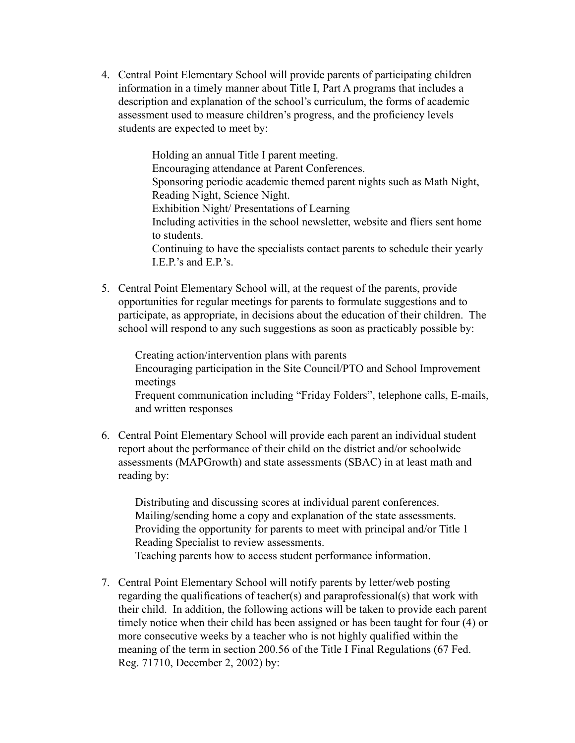4. Central Point Elementary School will provide parents of participating children information in a timely manner about Title I, Part A programs that includes a description and explanation of the school's curriculum, the forms of academic assessment used to measure children's progress, and the proficiency levels students are expected to meet by:

> Holding an annual Title I parent meeting. Encouraging attendance at Parent Conferences. Sponsoring periodic academic themed parent nights such as Math Night, Reading Night, Science Night. Exhibition Night/ Presentations of Learning Including activities in the school newsletter, website and fliers sent home to students. Continuing to have the specialists contact parents to schedule their yearly I.E.P.'s and E.P.'s.

5. Central Point Elementary School will, at the request of the parents, provide opportunities for regular meetings for parents to formulate suggestions and to participate, as appropriate, in decisions about the education of their children. The school will respond to any such suggestions as soon as practicably possible by:

Creating action/intervention plans with parents Encouraging participation in the Site Council/PTO and School Improvement meetings Frequent communication including "Friday Folders", telephone calls, E-mails, and written responses

6. Central Point Elementary School will provide each parent an individual student report about the performance of their child on the district and/or schoolwide assessments (MAPGrowth) and state assessments (SBAC) in at least math and reading by:

Distributing and discussing scores at individual parent conferences. Mailing/sending home a copy and explanation of the state assessments. Providing the opportunity for parents to meet with principal and/or Title 1 Reading Specialist to review assessments. Teaching parents how to access student performance information.

7. Central Point Elementary School will notify parents by letter/web posting regarding the qualifications of teacher(s) and paraprofessional(s) that work with their child. In addition, the following actions will be taken to provide each parent timely notice when their child has been assigned or has been taught for four (4) or more consecutive weeks by a teacher who is not highly qualified within the meaning of the term in section 200.56 of the Title I Final Regulations (67 Fed. Reg. 71710, December 2, 2002) by: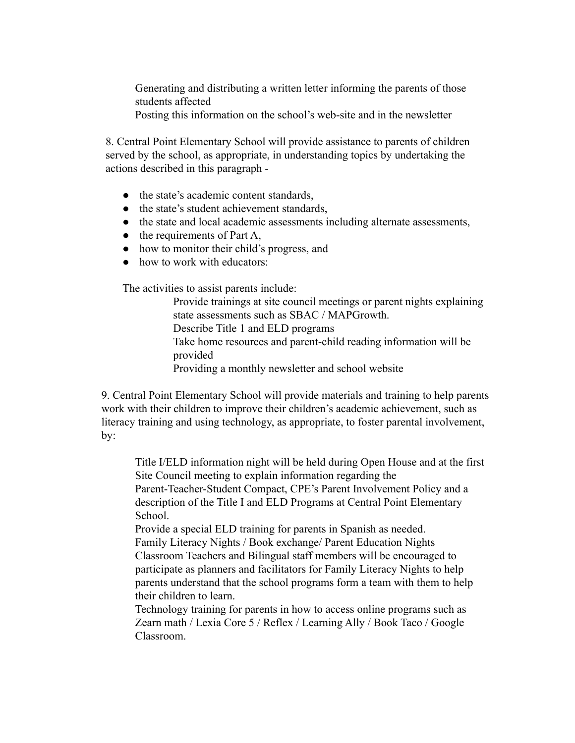Generating and distributing a written letter informing the parents of those students affected

Posting this information on the school's web-site and in the newsletter

8. Central Point Elementary School will provide assistance to parents of children served by the school, as appropriate, in understanding topics by undertaking the actions described in this paragraph -

- the state's academic content standards,
- the state's student achievement standards.
- the state and local academic assessments including alternate assessments,
- $\bullet$  the requirements of Part A,
- how to monitor their child's progress, and
- how to work with educators:

The activities to assist parents include:

Provide trainings at site council meetings or parent nights explaining state assessments such as SBAC / MAPGrowth. Describe Title 1 and ELD programs Take home resources and parent-child reading information will be provided Providing a monthly newsletter and school website

9. Central Point Elementary School will provide materials and training to help parents work with their children to improve their children's academic achievement, such as literacy training and using technology, as appropriate, to foster parental involvement, by:

Title I/ELD information night will be held during Open House and at the first Site Council meeting to explain information regarding the Parent-Teacher-Student Compact, CPE's Parent Involvement Policy and a description of the Title I and ELD Programs at Central Point Elementary School.

Provide a special ELD training for parents in Spanish as needed. Family Literacy Nights / Book exchange/ Parent Education Nights Classroom Teachers and Bilingual staff members will be encouraged to participate as planners and facilitators for Family Literacy Nights to help parents understand that the school programs form a team with them to help their children to learn.

Technology training for parents in how to access online programs such as Zearn math / Lexia Core 5 / Reflex / Learning Ally / Book Taco / Google Classroom.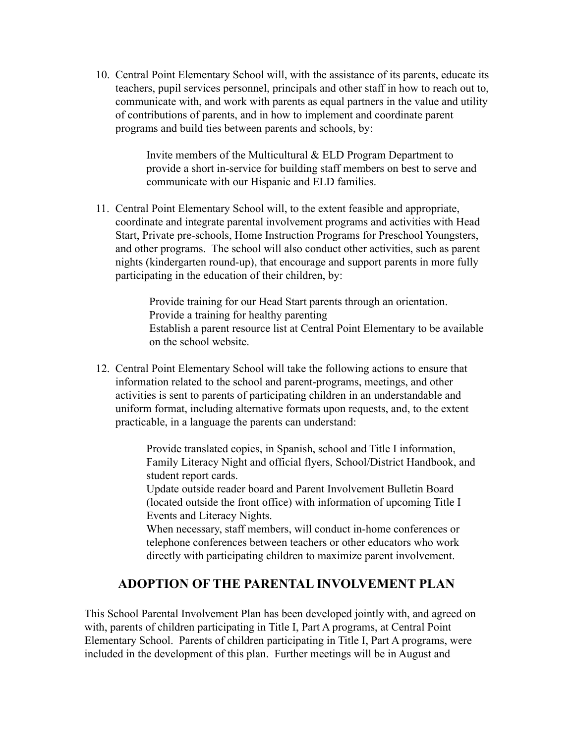10. Central Point Elementary School will, with the assistance of its parents, educate its teachers, pupil services personnel, principals and other staff in how to reach out to, communicate with, and work with parents as equal partners in the value and utility of contributions of parents, and in how to implement and coordinate parent programs and build ties between parents and schools, by:

> Invite members of the Multicultural & ELD Program Department to provide a short in-service for building staff members on best to serve and communicate with our Hispanic and ELD families.

11. Central Point Elementary School will, to the extent feasible and appropriate, coordinate and integrate parental involvement programs and activities with Head Start, Private pre-schools, Home Instruction Programs for Preschool Youngsters, and other programs. The school will also conduct other activities, such as parent nights (kindergarten round-up), that encourage and support parents in more fully participating in the education of their children, by:

> Provide training for our Head Start parents through an orientation. Provide a training for healthy parenting Establish a parent resource list at Central Point Elementary to be available on the school website.

12. Central Point Elementary School will take the following actions to ensure that information related to the school and parent-programs, meetings, and other activities is sent to parents of participating children in an understandable and uniform format, including alternative formats upon requests, and, to the extent practicable, in a language the parents can understand:

> Provide translated copies, in Spanish, school and Title I information, Family Literacy Night and official flyers, School/District Handbook, and student report cards.

Update outside reader board and Parent Involvement Bulletin Board (located outside the front office) with information of upcoming Title I Events and Literacy Nights.

When necessary, staff members, will conduct in-home conferences or telephone conferences between teachers or other educators who work directly with participating children to maximize parent involvement.

## **ADOPTION OF THE PARENTAL INVOLVEMENT PLAN**

This School Parental Involvement Plan has been developed jointly with, and agreed on with, parents of children participating in Title I, Part A programs, at Central Point Elementary School. Parents of children participating in Title I, Part A programs, were included in the development of this plan. Further meetings will be in August and